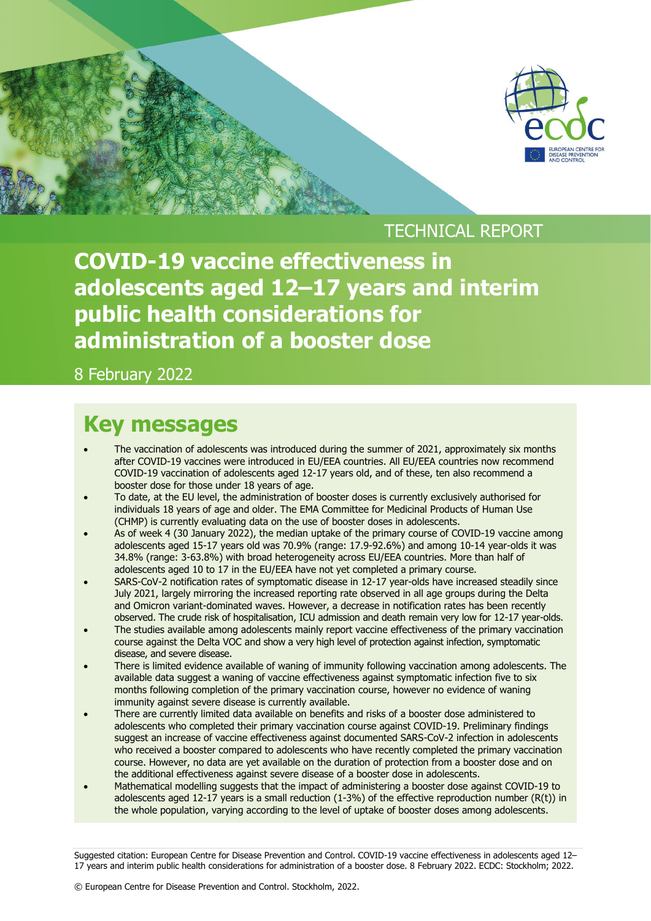

TECHNICAL REPORT

**COVID-19 vaccine effectiveness in adolescents aged 12–17 years and interim public health considerations for administration of a booster dose** 

8 February 2022

#### **Key messages**

- The vaccination of adolescents was introduced during the summer of 2021, approximately six months after COVID-19 vaccines were introduced in EU/EEA countries. All EU/EEA countries now recommend COVID-19 vaccination of adolescents aged 12-17 years old, and of these, ten also recommend a booster dose for those under 18 years of age.
- To date, at the EU level, the administration of booster doses is currently exclusively authorised for individuals 18 years of age and older. The EMA Committee for Medicinal Products of Human Use (CHMP) is currently evaluating data on the use of booster doses in adolescents.
- As of week 4 (30 January 2022), the median uptake of the primary course of COVID-19 vaccine among adolescents aged 15-17 years old was 70.9% (range: 17.9-92.6%) and among 10-14 year-olds it was 34.8% (range: 3-63.8%) with broad heterogeneity across EU/EEA countries. More than half of adolescents aged 10 to 17 in the EU/EEA have not yet completed a primary course.
- SARS-CoV-2 notification rates of symptomatic disease in 12-17 year-olds have increased steadily since July 2021, largely mirroring the increased reporting rate observed in all age groups during the Delta and Omicron variant-dominated waves. However, a decrease in notification rates has been recently observed. The crude risk of hospitalisation, ICU admission and death remain very low for 12-17 year-olds.
- The studies available among adolescents mainly report vaccine effectiveness of the primary vaccination course against the Delta VOC and show a very high level of protection against infection, symptomatic disease, and severe disease.
- There is limited evidence available of waning of immunity following vaccination among adolescents. The available data suggest a waning of vaccine effectiveness against symptomatic infection five to six months following completion of the primary vaccination course, however no evidence of waning immunity against severe disease is currently available.
- There are currently limited data available on benefits and risks of a booster dose administered to adolescents who completed their primary vaccination course against COVID-19. Preliminary findings suggest an increase of vaccine effectiveness against documented SARS-CoV-2 infection in adolescents who received a booster compared to adolescents who have recently completed the primary vaccination course. However, no data are yet available on the duration of protection from a booster dose and on the additional effectiveness against severe disease of a booster dose in adolescents.
- Mathematical modelling suggests that the impact of administering a booster dose against COVID-19 to adolescents aged 12-17 years is a small reduction (1-3%) of the effective reproduction number (R(t)) in the whole population, varying according to the level of uptake of booster doses among adolescents.

Suggested citation: European Centre for Disease Prevention and Control. COVID-19 vaccine effectiveness in adolescents aged 12– 17 years and interim public health considerations for administration of a booster dose. 8 February 2022. ECDC: Stockholm; 2022.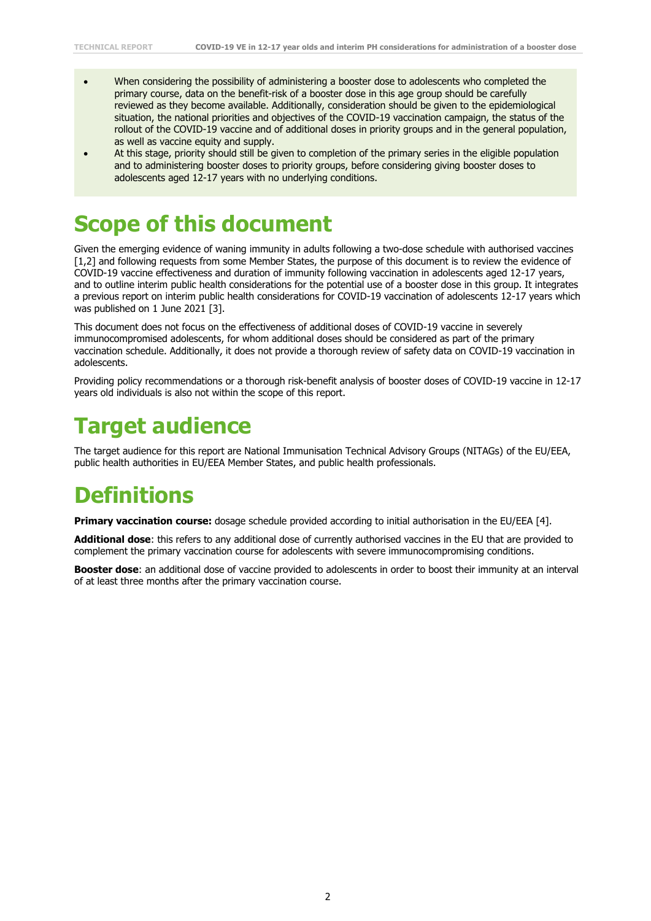- When considering the possibility of administering a booster dose to adolescents who completed the primary course, data on the benefit-risk of a booster dose in this age group should be carefully reviewed as they become available. Additionally, consideration should be given to the epidemiological situation, the national priorities and objectives of the COVID-19 vaccination campaign, the status of the rollout of the COVID-19 vaccine and of additional doses in priority groups and in the general population, as well as vaccine equity and supply.
- At this stage, priority should still be given to completion of the primary series in the eligible population and to administering booster doses to priority groups, before considering giving booster doses to adolescents aged 12-17 years with no underlying conditions.

# **Scope of this document**

Given the emerging evidence of waning immunity in adults following a two-dose schedule with authorised vaccines [1,2] and following requests from some Member States, the purpose of this document is to review the evidence of COVID-19 vaccine effectiveness and duration of immunity following vaccination in adolescents aged 12-17 years, and to outline interim public health considerations for the potential use of a booster dose in this group. It integrates a previous report on interim public health considerations for COVID-19 vaccination of adolescents 12-17 years which was published on 1 June 2021 [3].

This document does not focus on the effectiveness of additional doses of COVID-19 vaccine in severely immunocompromised adolescents, for whom additional doses should be considered as part of the primary vaccination schedule. Additionally, it does not provide a thorough review of safety data on COVID-19 vaccination in adolescents.

Providing policy recommendations or a thorough risk-benefit analysis of booster doses of COVID-19 vaccine in 12-17 years old individuals is also not within the scope of this report.

# **Target audience**

The target audience for this report are National Immunisation Technical Advisory Groups (NITAGs) of the EU/EEA, public health authorities in EU/EEA Member States, and public health professionals.

# **Definitions**

**Primary vaccination course:** dosage schedule provided according to initial authorisation in the EU/EEA [4].

**Additional dose**: this refers to any additional dose of currently authorised vaccines in the EU that are provided to complement the primary vaccination course for adolescents with severe immunocompromising conditions.

**Booster dose**: an additional dose of vaccine provided to adolescents in order to boost their immunity at an interval of at least three months after the primary vaccination course.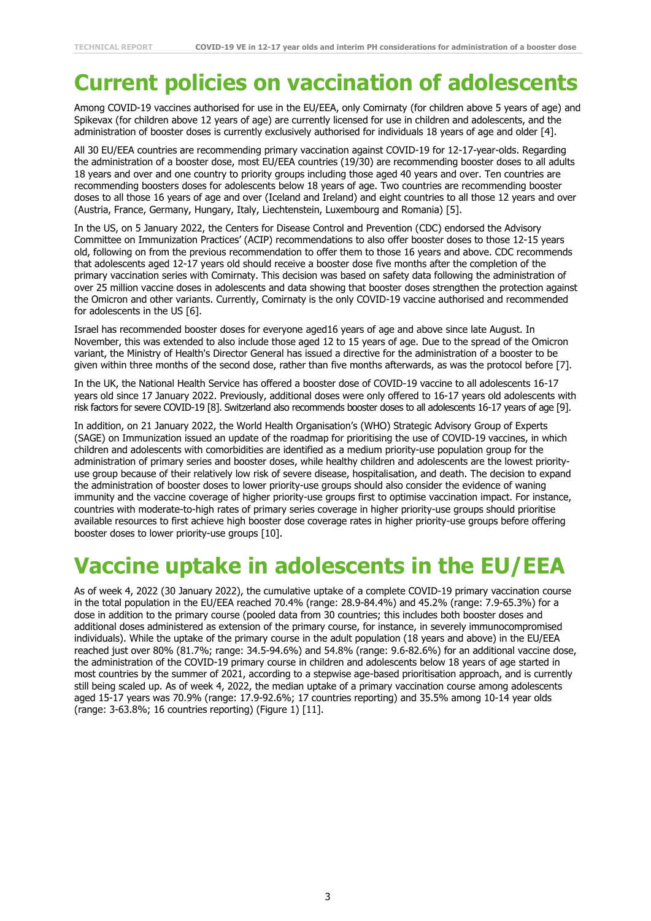### **Current policies on vaccination of adolescents**

Among COVID-19 vaccines authorised for use in the EU/EEA, only Comirnaty (for children above 5 years of age) and Spikevax (for children above 12 years of age) are currently licensed for use in children and adolescents, and the administration of booster doses is currently exclusively authorised for individuals 18 years of age and older [4].

All 30 EU/EEA countries are recommending primary vaccination against COVID-19 for 12-17-year-olds. Regarding the administration of a booster dose, most EU/EEA countries (19/30) are recommending booster doses to all adults 18 years and over and one country to priority groups including those aged 40 years and over. Ten countries are recommending boosters doses for adolescents below 18 years of age. Two countries are recommending booster doses to all those 16 years of age and over (Iceland and Ireland) and eight countries to all those 12 years and over (Austria, France, Germany, Hungary, Italy, Liechtenstein, Luxembourg and Romania) [5].

In the US, on 5 January 2022, the Centers for Disease Control and Prevention (CDC) endorsed the Advisory Committee on Immunization Practices' (ACIP) recommendations to also offer booster doses to those 12-15 years old, following on from the previous recommendation to offer them to those 16 years and above. CDC recommends that adolescents aged 12-17 years old should receive a booster dose five months after the completion of the primary vaccination series with Comirnaty. This decision was based on safety data following the administration of over 25 million vaccine doses in adolescents and data showing that booster doses strengthen the protection against the Omicron and other variants. Currently, Comirnaty is the only COVID-19 vaccine authorised and recommended for adolescents in the US [6].

Israel has recommended booster doses for everyone aged16 years of age and above since late August. In November, this was extended to also include those aged 12 to 15 years of age. Due to the spread of the Omicron variant, the Ministry of Health's Director General has issued a directive for the administration of a booster to be given within three months of the second dose, rather than five months afterwards, as was the protocol before [7].

In the UK, the National Health Service has offered a booster dose of COVID-19 vaccine to all adolescents 16-17 years old since 17 January 2022. Previously, additional doses were only offered to 16-17 years old adolescents with risk factors for severe COVID-19 [8]. Switzerland also recommends booster doses to all adolescents 16-17 years of age [9].

In addition, on 21 January 2022, the World Health Organisation's (WHO) Strategic Advisory Group of Experts (SAGE) on Immunization issued an update of the roadmap for prioritising the use of COVID-19 vaccines, in which children and adolescents with comorbidities are identified as a medium priority-use population group for the administration of primary series and booster doses, while healthy children and adolescents are the lowest priorityuse group because of their relatively low risk of severe disease, hospitalisation, and death. The decision to expand the administration of booster doses to lower priority-use groups should also consider the evidence of waning immunity and the vaccine coverage of higher priority-use groups first to optimise vaccination impact. For instance, countries with moderate-to-high rates of primary series coverage in higher priority-use groups should prioritise available resources to first achieve high booster dose coverage rates in higher priority-use groups before offering booster doses to lower priority-use groups [10].

# **Vaccine uptake in adolescents in the EU/EEA**

As of week 4, 2022 (30 January 2022), the cumulative uptake of a complete COVID-19 primary vaccination course in the total population in the EU/EEA reached 70.4% (range: 28.9-84.4%) and 45.2% (range: 7.9-65.3%) for a dose in addition to the primary course (pooled data from 30 countries; this includes both booster doses and additional doses administered as extension of the primary course, for instance, in severely immunocompromised individuals). While the uptake of the primary course in the adult population (18 years and above) in the EU/EEA reached just over 80% (81.7%; range: 34.5-94.6%) and 54.8% (range: 9.6-82.6%) for an additional vaccine dose, the administration of the COVID-19 primary course in children and adolescents below 18 years of age started in most countries by the summer of 2021, according to a stepwise age-based prioritisation approach, and is currently still being scaled up. As of week 4, 2022, the median uptake of a primary vaccination course among adolescents aged 15-17 years was 70.9% (range: 17.9-92.6%; 17 countries reporting) and 35.5% among 10-14 year olds (range: 3-63.8%; 16 countries reporting) (Figure 1) [11].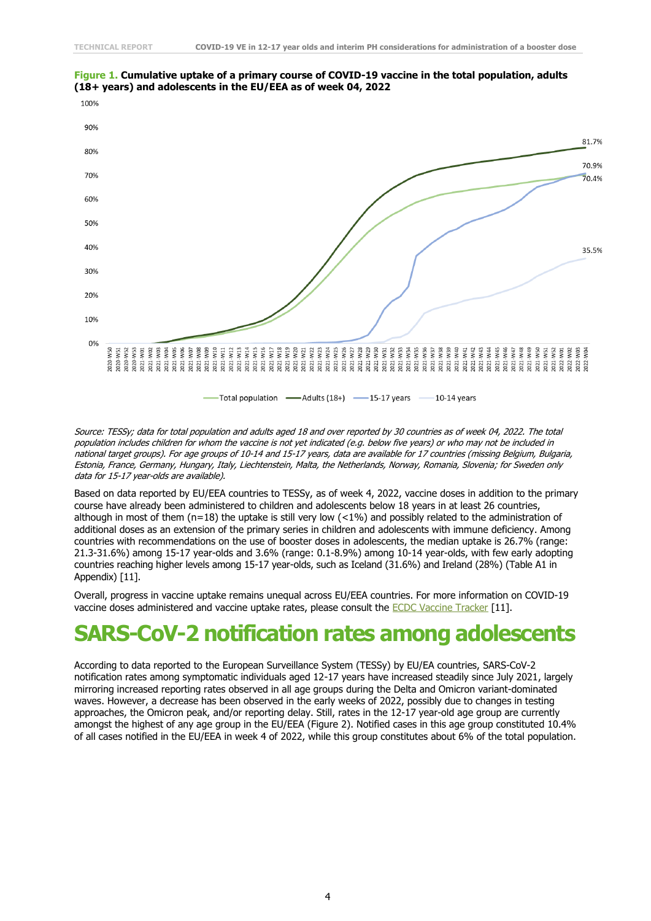

#### **Figure 1. Cumulative uptake of a primary course of COVID-19 vaccine in the total population, adults (18+ years) and adolescents in the EU/EEA as of week 04, 2022**

Source: TESSy; data for total population and adults aged 18 and over reported by 30 countries as of week 04, 2022. The total population includes children for whom the vaccine is not yet indicated (e.g. below five years) or who may not be included in national target groups). For age groups of 10-14 and 15-17 years, data are available for 17 countries (missing Belgium, Bulgaria, Estonia, France, Germany, Hungary, Italy, Liechtenstein, Malta, the Netherlands, Norway, Romania, Slovenia; for Sweden only data for 15-17 year-olds are available).

Based on data reported by EU/EEA countries to TESSy, as of week 4, 2022, vaccine doses in addition to the primary course have already been administered to children and adolescents below 18 years in at least 26 countries, although in most of them ( $n=18$ ) the uptake is still very low (<1%) and possibly related to the administration of additional doses as an extension of the primary series in children and adolescents with immune deficiency. Among countries with recommendations on the use of booster doses in adolescents, the median uptake is 26.7% (range: 21.3-31.6%) among 15-17 year-olds and 3.6% (range: 0.1-8.9%) among 10-14 year-olds, with few early adopting countries reaching higher levels among 15-17 year-olds, such as Iceland (31.6%) and Ireland (28%) (Table A1 in Appendix) [11].

Overall, progress in vaccine uptake remains unequal across EU/EEA countries. For more information on COVID-19 vaccine doses administered and vaccine uptake rates, please consult the [ECDC Vaccine Tracker](https://vaccinetracker.ecdc.europa.eu/public/extensions/COVID-19/vaccine-tracker.html#uptake-tab) [11].

#### **SARS-CoV-2 notification rates among adolescents**

According to data reported to the European Surveillance System (TESSy) by EU/EA countries, SARS-CoV-2 notification rates among symptomatic individuals aged 12-17 years have increased steadily since July 2021, largely mirroring increased reporting rates observed in all age groups during the Delta and Omicron variant-dominated waves. However, a decrease has been observed in the early weeks of 2022, possibly due to changes in testing approaches, the Omicron peak, and/or reporting delay. Still, rates in the 12-17 year-old age group are currently amongst the highest of any age group in the EU/EEA (Figure 2). Notified cases in this age group constituted 10.4% of all cases notified in the EU/EEA in week 4 of 2022, while this group constitutes about 6% of the total population.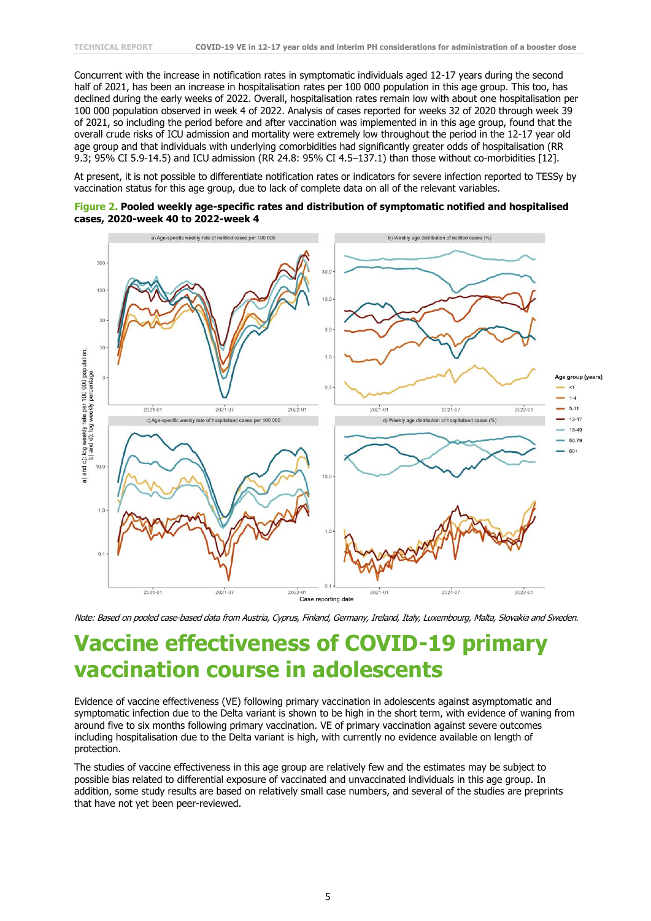Concurrent with the increase in notification rates in symptomatic individuals aged 12-17 years during the second half of 2021, has been an increase in hospitalisation rates per 100 000 population in this age group. This too, has declined during the early weeks of 2022. Overall, hospitalisation rates remain low with about one hospitalisation per 100 000 population observed in week 4 of 2022. Analysis of cases reported for weeks 32 of 2020 through week 39 of 2021, so including the period before and after vaccination was implemented in in this age group, found that the overall crude risks of ICU admission and mortality were extremely low throughout the period in the 12-17 year old age group and that individuals with underlying comorbidities had significantly greater odds of hospitalisation (RR 9.3; 95% CI 5.9-14.5) and ICU admission (RR 24.8: 95% CI 4.5–137.1) than those without co-morbidities [12].

At present, it is not possible to differentiate notification rates or indicators for severe infection reported to TESSy by vaccination status for this age group, due to lack of complete data on all of the relevant variables.





Note: Based on pooled case-based data from Austria, Cyprus, Finland, Germany, Ireland, Italy, Luxembourg, Malta, Slovakia and Sweden.

#### **Vaccine effectiveness of COVID-19 primary vaccination course in adolescents**

Evidence of vaccine effectiveness (VE) following primary vaccination in adolescents against asymptomatic and symptomatic infection due to the Delta variant is shown to be high in the short term, with evidence of waning from around five to six months following primary vaccination. VE of primary vaccination against severe outcomes including hospitalisation due to the Delta variant is high, with currently no evidence available on length of protection.

The studies of vaccine effectiveness in this age group are relatively few and the estimates may be subject to possible bias related to differential exposure of vaccinated and unvaccinated individuals in this age group. In addition, some study results are based on relatively small case numbers, and several of the studies are preprints that have not yet been peer-reviewed.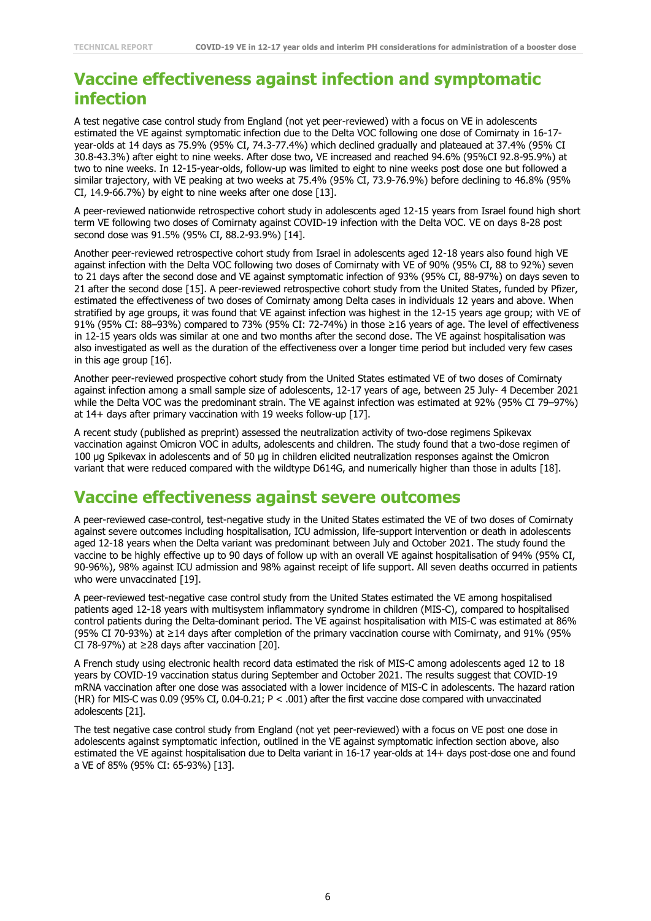#### **Vaccine effectiveness against infection and symptomatic infection**

A test negative case control study from England (not yet peer-reviewed) with a focus on VE in adolescents estimated the VE against symptomatic infection due to the Delta VOC following one dose of Comirnaty in 16-17 year-olds at 14 days as 75.9% (95% CI, 74.3-77.4%) which declined gradually and plateaued at 37.4% (95% CI 30.8-43.3%) after eight to nine weeks. After dose two, VE increased and reached 94.6% (95%CI 92.8-95.9%) at two to nine weeks. In 12-15-year-olds, follow-up was limited to eight to nine weeks post dose one but followed a similar trajectory, with VE peaking at two weeks at 75.4% (95% CI, 73.9-76.9%) before declining to 46.8% (95% CI, 14.9-66.7%) by eight to nine weeks after one dose [13].

A peer-reviewed nationwide retrospective cohort study in adolescents aged 12-15 years from Israel found high short term VE following two doses of Comirnaty against COVID-19 infection with the Delta VOC. VE on days 8-28 post second dose was 91.5% (95% CI, 88.2-93.9%) [14].

Another peer-reviewed retrospective cohort study from Israel in adolescents aged 12-18 years also found high VE against infection with the Delta VOC following two doses of Comirnaty with VE of 90% (95% CI, 88 to 92%) seven to 21 days after the second dose and VE against symptomatic infection of 93% (95% CI, 88-97%) on days seven to 21 after the second dose [15]. A peer-reviewed retrospective cohort study from the United States, funded by Pfizer, estimated the effectiveness of two doses of Comirnaty among Delta cases in individuals 12 years and above. When stratified by age groups, it was found that VE against infection was highest in the 12-15 years age group; with VE of 91% (95% CI: 88-93%) compared to 73% (95% CI: 72-74%) in those ≥16 years of age. The level of effectiveness in 12-15 years olds was similar at one and two months after the second dose. The VE against hospitalisation was also investigated as well as the duration of the effectiveness over a longer time period but included very few cases in this age group [16].

Another peer-reviewed prospective cohort study from the United States estimated VE of two doses of Comirnaty against infection among a small sample size of adolescents, 12-17 years of age, between 25 July- 4 December 2021 while the Delta VOC was the predominant strain. The VE against infection was estimated at 92% (95% CI 79–97%) at 14+ days after primary vaccination with 19 weeks follow-up [17].

A recent study (published as preprint) assessed the neutralization activity of two-dose regimens Spikevax vaccination against Omicron VOC in adults, adolescents and children. The study found that a two-dose regimen of 100 µg Spikevax in adolescents and of 50 µg in children elicited neutralization responses against the Omicron variant that were reduced compared with the wildtype D614G, and numerically higher than those in adults [18].

#### **Vaccine effectiveness against severe outcomes**

A peer-reviewed case-control, test-negative study in the United States estimated the VE of two doses of Comirnaty against severe outcomes including hospitalisation, ICU admission, life-support intervention or death in adolescents aged 12-18 years when the Delta variant was predominant between July and October 2021. The study found the vaccine to be highly effective up to 90 days of follow up with an overall VE against hospitalisation of 94% (95% CI, 90-96%), 98% against ICU admission and 98% against receipt of life support. All seven deaths occurred in patients who were unvaccinated [19].

A peer-reviewed test-negative case control study from the United States estimated the VE among hospitalised patients aged 12-18 years with multisystem inflammatory syndrome in children (MIS-C), compared to hospitalised control patients during the Delta-dominant period. The VE against hospitalisation with MIS-C was estimated at 86% (95% CI 70-93%) at ≥14 days after completion of the primary vaccination course with Comirnaty, and 91% (95% CI 78-97%) at  $\geq$ 28 days after vaccination [20].

A French study using electronic health record data estimated the risk of MIS-C among adolescents aged 12 to 18 years by COVID-19 vaccination status during September and October 2021. The results suggest that COVID-19 mRNA vaccination after one dose was associated with a lower incidence of MIS-C in adolescents. The hazard ration (HR) for MIS-C was 0.09 (95% CI, 0.04-0.21; P < .001) after the first vaccine dose compared with unvaccinated adolescents [21].

The test negative case control study from England (not yet peer-reviewed) with a focus on VE post one dose in adolescents against symptomatic infection, outlined in the VE against symptomatic infection section above, also estimated the VE against hospitalisation due to Delta variant in 16-17 year-olds at 14+ days post-dose one and found a VE of 85% (95% CI: 65-93%) [13].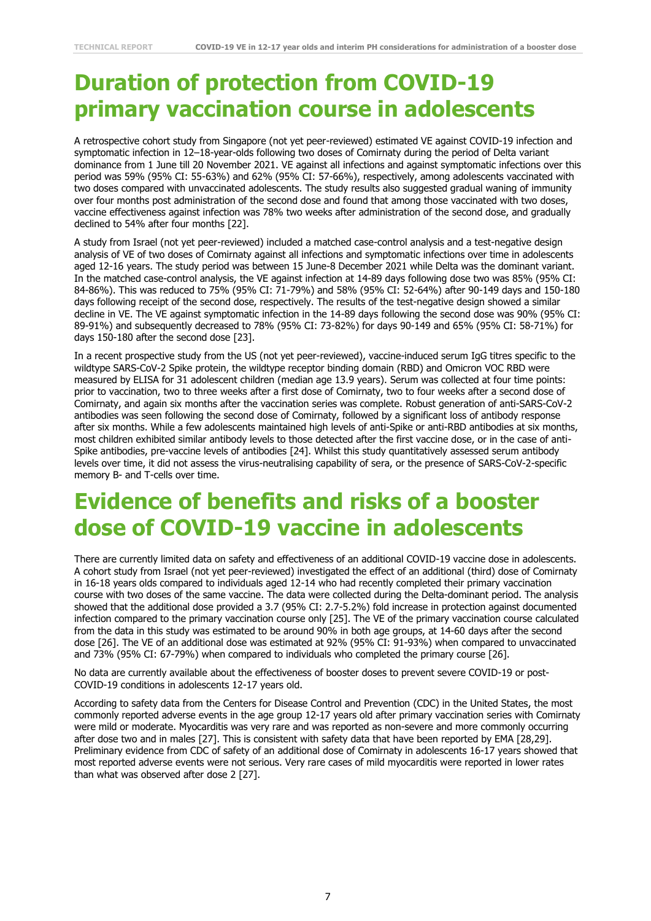# **Duration of protection from COVID-19 primary vaccination course in adolescents**

A retrospective cohort study from Singapore (not yet peer-reviewed) estimated VE against COVID-19 infection and symptomatic infection in 12–18-year-olds following two doses of Comirnaty during the period of Delta variant dominance from 1 June till 20 November 2021. VE against all infections and against symptomatic infections over this period was 59% (95% CI: 55-63%) and 62% (95% CI: 57-66%), respectively, among adolescents vaccinated with two doses compared with unvaccinated adolescents. The study results also suggested gradual waning of immunity over four months post administration of the second dose and found that among those vaccinated with two doses, vaccine effectiveness against infection was 78% two weeks after administration of the second dose, and gradually declined to 54% after four months [22].

A study from Israel (not yet peer-reviewed) included a matched case-control analysis and a test-negative design analysis of VE of two doses of Comirnaty against all infections and symptomatic infections over time in adolescents aged 12-16 years. The study period was between 15 June-8 December 2021 while Delta was the dominant variant. In the matched case-control analysis, the VE against infection at 14-89 days following dose two was 85% (95% CI: 84-86%). This was reduced to 75% (95% CI: 71-79%) and 58% (95% CI: 52-64%) after 90-149 days and 150-180 days following receipt of the second dose, respectively. The results of the test-negative design showed a similar decline in VE. The VE against symptomatic infection in the 14-89 days following the second dose was 90% (95% CI: 89-91%) and subsequently decreased to 78% (95% CI: 73-82%) for days 90-149 and 65% (95% CI: 58-71%) for days 150-180 after the second dose [23].

In a recent prospective study from the US (not yet peer-reviewed), vaccine-induced serum IgG titres specific to the wildtype SARS-CoV-2 Spike protein, the wildtype receptor binding domain (RBD) and Omicron VOC RBD were measured by ELISA for 31 adolescent children (median age 13.9 years). Serum was collected at four time points: prior to vaccination, two to three weeks after a first dose of Comirnaty, two to four weeks after a second dose of Comirnaty, and again six months after the vaccination series was complete. Robust generation of anti-SARS-CoV-2 antibodies was seen following the second dose of Comirnaty, followed by a significant loss of antibody response after six months. While a few adolescents maintained high levels of anti-Spike or anti-RBD antibodies at six months, most children exhibited similar antibody levels to those detected after the first vaccine dose, or in the case of anti-Spike antibodies, pre-vaccine levels of antibodies [24]. Whilst this study quantitatively assessed serum antibody levels over time, it did not assess the virus-neutralising capability of sera, or the presence of SARS-CoV-2-specific memory B- and T-cells over time.

#### **Evidence of benefits and risks of a booster dose of COVID-19 vaccine in adolescents**

There are currently limited data on safety and effectiveness of an additional COVID-19 vaccine dose in adolescents. A cohort study from Israel (not yet peer-reviewed) investigated the effect of an additional (third) dose of Comirnaty in 16-18 years olds compared to individuals aged 12-14 who had recently completed their primary vaccination course with two doses of the same vaccine. The data were collected during the Delta-dominant period. The analysis showed that the additional dose provided a 3.7 (95% CI: 2.7-5.2%) fold increase in protection against documented infection compared to the primary vaccination course only [25]. The VE of the primary vaccination course calculated from the data in this study was estimated to be around 90% in both age groups, at 14-60 days after the second dose [26]. The VE of an additional dose was estimated at 92% (95% CI: 91-93%) when compared to unvaccinated and 73% (95% CI: 67-79%) when compared to individuals who completed the primary course [26].

No data are currently available about the effectiveness of booster doses to prevent severe COVID-19 or post-COVID-19 conditions in adolescents 12-17 years old.

According to safety data from the Centers for Disease Control and Prevention (CDC) in the United States, the most commonly reported adverse events in the age group 12-17 years old after primary vaccination series with Comirnaty were mild or moderate. Myocarditis was very rare and was reported as non-severe and more commonly occurring after dose two and in males [27]. This is consistent with safety data that have been reported by EMA [28,29]. Preliminary evidence from CDC of safety of an additional dose of Comirnaty in adolescents 16-17 years showed that most reported adverse events were not serious. Very rare cases of mild myocarditis were reported in lower rates than what was observed after dose 2 [27].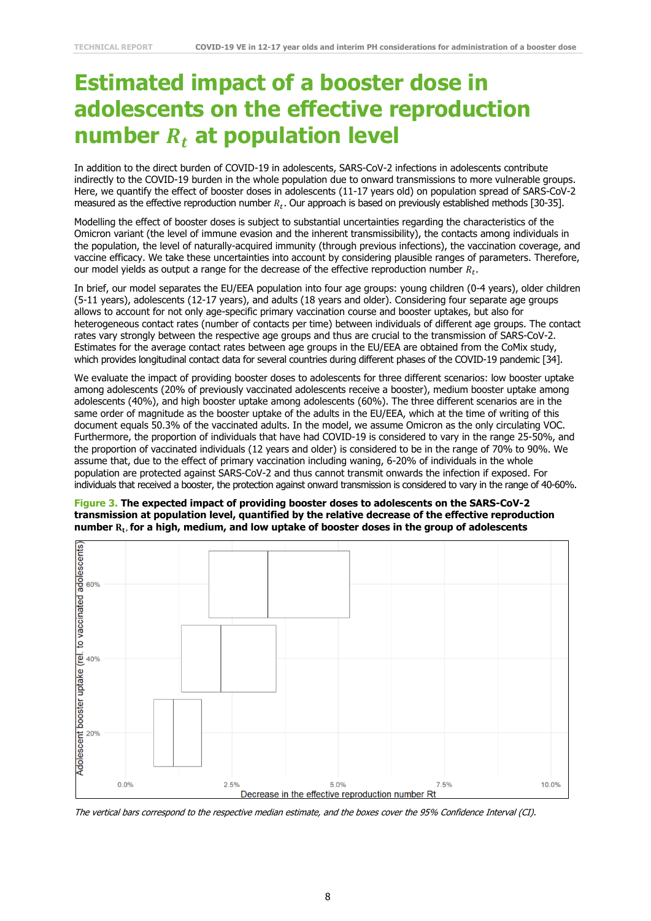# **Estimated impact of a booster dose in adolescents on the effective reproduction number at population level**

In addition to the direct burden of COVID-19 in adolescents, SARS-CoV-2 infections in adolescents contribute indirectly to the COVID-19 burden in the whole population due to onward transmissions to more vulnerable groups. Here, we quantify the effect of booster doses in adolescents (11-17 years old) on population spread of SARS-CoV-2 measured as the effective reproduction number  $R_t$ . Our approach is based on previously established methods [30-35].

Modelling the effect of booster doses is subject to substantial uncertainties regarding the characteristics of the Omicron variant (the level of immune evasion and the inherent transmissibility), the contacts among individuals in the population, the level of naturally-acquired immunity (through previous infections), the vaccination coverage, and vaccine efficacy. We take these uncertainties into account by considering plausible ranges of parameters. Therefore, our model yields as output a range for the decrease of the effective reproduction number  $R_t.$ 

In brief, our model separates the EU/EEA population into four age groups: young children (0-4 years), older children (5-11 years), adolescents (12-17 years), and adults (18 years and older). Considering four separate age groups allows to account for not only age-specific primary vaccination course and booster uptakes, but also for heterogeneous contact rates (number of contacts per time) between individuals of different age groups. The contact rates vary strongly between the respective age groups and thus are crucial to the transmission of SARS-CoV-2. Estimates for the average contact rates between age groups in the EU/EEA are obtained from the CoMix study, which provides longitudinal contact data for several countries during different phases of the COVID-19 pandemic [34].

We evaluate the impact of providing booster doses to adolescents for three different scenarios: low booster uptake among adolescents (20% of previously vaccinated adolescents receive a booster), medium booster uptake among adolescents (40%), and high booster uptake among adolescents (60%). The three different scenarios are in the same order of magnitude as the booster uptake of the adults in the EU/EEA, which at the time of writing of this document equals 50.3% of the vaccinated adults. In the model, we assume Omicron as the only circulating VOC. Furthermore, the proportion of individuals that have had COVID-19 is considered to vary in the range 25-50%, and the proportion of vaccinated individuals (12 years and older) is considered to be in the range of 70% to 90%. We assume that, due to the effect of primary vaccination including waning, 6-20% of individuals in the whole population are protected against SARS-CoV-2 and thus cannot transmit onwards the infection if exposed. For individuals that received a booster, the protection against onward transmission is considered to vary in the range of 40-60%.





The vertical bars correspond to the respective median estimate, and the boxes cover the 95% Confidence Interval (CI).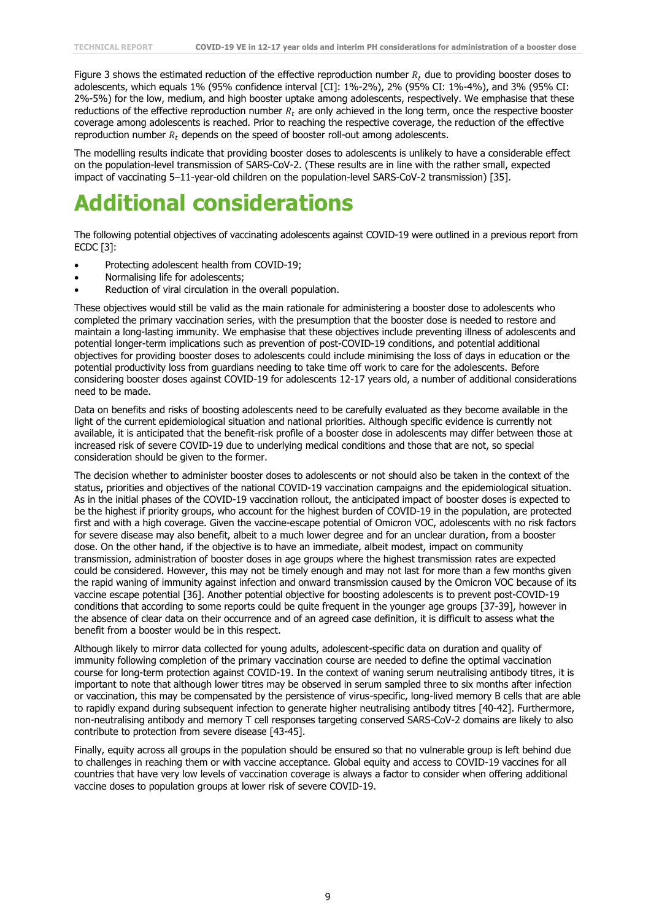Figure 3 shows the estimated reduction of the effective reproduction number  $R_t$  due to providing booster doses to adolescents, which equals 1% (95% confidence interval [CI]: 1%-2%), 2% (95% CI: 1%-4%), and 3% (95% CI: 2%-5%) for the low, medium, and high booster uptake among adolescents, respectively. We emphasise that these reductions of the effective reproduction number  $R_t$  are only achieved in the long term, once the respective booster coverage among adolescents is reached. Prior to reaching the respective coverage, the reduction of the effective reproduction number  $R_t$  depends on the speed of booster roll-out among adolescents.

The modelling results indicate that providing booster doses to adolescents is unlikely to have a considerable effect on the population-level transmission of SARS-CoV-2. (These results are in line with the rather small, expected impact of vaccinating 5–11-year-old children on the population-level SARS-CoV-2 transmission) [35].

#### **Additional considerations**

The following potential objectives of vaccinating adolescents against COVID-19 were outlined in a previous report from ECDC [3]:

- Protecting adolescent health from COVID-19;
- Normalising life for adolescents;
- Reduction of viral circulation in the overall population.

These objectives would still be valid as the main rationale for administering a booster dose to adolescents who completed the primary vaccination series, with the presumption that the booster dose is needed to restore and maintain a long-lasting immunity. We emphasise that these objectives include preventing illness of adolescents and potential longer-term implications such as prevention of post-COVID-19 conditions, and potential additional objectives for providing booster doses to adolescents could include minimising the loss of days in education or the potential productivity loss from guardians needing to take time off work to care for the adolescents. Before considering booster doses against COVID-19 for adolescents 12-17 years old, a number of additional considerations need to be made.

Data on benefits and risks of boosting adolescents need to be carefully evaluated as they become available in the light of the current epidemiological situation and national priorities. Although specific evidence is currently not available, it is anticipated that the benefit-risk profile of a booster dose in adolescents may differ between those at increased risk of severe COVID-19 due to underlying medical conditions and those that are not, so special consideration should be given to the former.

The decision whether to administer booster doses to adolescents or not should also be taken in the context of the status, priorities and objectives of the national COVID-19 vaccination campaigns and the epidemiological situation. As in the initial phases of the COVID-19 vaccination rollout, the anticipated impact of booster doses is expected to be the highest if priority groups, who account for the highest burden of COVID-19 in the population, are protected first and with a high coverage. Given the vaccine-escape potential of Omicron VOC, adolescents with no risk factors for severe disease may also benefit, albeit to a much lower degree and for an unclear duration, from a booster dose. On the other hand, if the objective is to have an immediate, albeit modest, impact on community transmission, administration of booster doses in age groups where the highest transmission rates are expected could be considered. However, this may not be timely enough and may not last for more than a few months given the rapid waning of immunity against infection and onward transmission caused by the Omicron VOC because of its vaccine escape potential [36]. Another potential objective for boosting adolescents is to prevent post-COVID-19 conditions that according to some reports could be quite frequent in the younger age groups [37-39], however in the absence of clear data on their occurrence and of an agreed case definition, it is difficult to assess what the benefit from a booster would be in this respect.

Although likely to mirror data collected for young adults, adolescent-specific data on duration and quality of immunity following completion of the primary vaccination course are needed to define the optimal vaccination course for long-term protection against COVID-19. In the context of waning serum neutralising antibody titres, it is important to note that although lower titres may be observed in serum sampled three to six months after infection or vaccination, this may be compensated by the persistence of virus-specific, long-lived memory B cells that are able to rapidly expand during subsequent infection to generate higher neutralising antibody titres [40-42]. Furthermore, non-neutralising antibody and memory T cell responses targeting conserved SARS-CoV-2 domains are likely to also contribute to protection from severe disease [43-45].

Finally, equity across all groups in the population should be ensured so that no vulnerable group is left behind due to challenges in reaching them or with vaccine acceptance. Global equity and access to COVID-19 vaccines for all countries that have very low levels of vaccination coverage is always a factor to consider when offering additional vaccine doses to population groups at lower risk of severe COVID-19.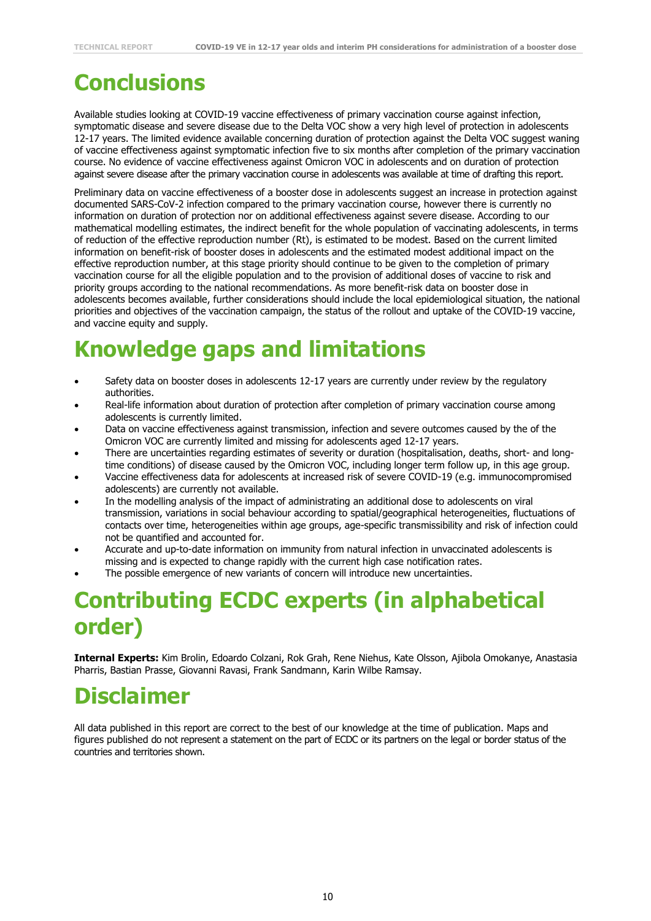# **Conclusions**

Available studies looking at COVID-19 vaccine effectiveness of primary vaccination course against infection, symptomatic disease and severe disease due to the Delta VOC show a very high level of protection in adolescents 12-17 years. The limited evidence available concerning duration of protection against the Delta VOC suggest waning of vaccine effectiveness against symptomatic infection five to six months after completion of the primary vaccination course. No evidence of vaccine effectiveness against Omicron VOC in adolescents and on duration of protection against severe disease after the primary vaccination course in adolescents was available at time of drafting this report.

Preliminary data on vaccine effectiveness of a booster dose in adolescents suggest an increase in protection against documented SARS-CoV-2 infection compared to the primary vaccination course, however there is currently no information on duration of protection nor on additional effectiveness against severe disease. According to our mathematical modelling estimates, the indirect benefit for the whole population of vaccinating adolescents, in terms of reduction of the effective reproduction number (Rt), is estimated to be modest. Based on the current limited information on benefit-risk of booster doses in adolescents and the estimated modest additional impact on the effective reproduction number, at this stage priority should continue to be given to the completion of primary vaccination course for all the eligible population and to the provision of additional doses of vaccine to risk and priority groups according to the national recommendations. As more benefit-risk data on booster dose in adolescents becomes available, further considerations should include the local epidemiological situation, the national priorities and objectives of the vaccination campaign, the status of the rollout and uptake of the COVID-19 vaccine, and vaccine equity and supply.

# **Knowledge gaps and limitations**

- Safety data on booster doses in adolescents 12-17 years are currently under review by the regulatory authorities.
- Real-life information about duration of protection after completion of primary vaccination course among adolescents is currently limited.
- Data on vaccine effectiveness against transmission, infection and severe outcomes caused by the of the Omicron VOC are currently limited and missing for adolescents aged 12-17 years.
- There are uncertainties regarding estimates of severity or duration (hospitalisation, deaths, short- and longtime conditions) of disease caused by the Omicron VOC, including longer term follow up, in this age group.
- Vaccine effectiveness data for adolescents at increased risk of severe COVID-19 (e.g. immunocompromised adolescents) are currently not available.
- In the modelling analysis of the impact of administrating an additional dose to adolescents on viral transmission, variations in social behaviour according to spatial/geographical heterogeneities, fluctuations of contacts over time, heterogeneities within age groups, age-specific transmissibility and risk of infection could not be quantified and accounted for.
- Accurate and up-to-date information on immunity from natural infection in unvaccinated adolescents is missing and is expected to change rapidly with the current high case notification rates.
- The possible emergence of new variants of concern will introduce new uncertainties.

# **Contributing ECDC experts (in alphabetical order)**

**Internal Experts:** Kim Brolin, Edoardo Colzani, Rok Grah, Rene Niehus, Kate Olsson, Ajibola Omokanye, Anastasia Pharris, Bastian Prasse, Giovanni Ravasi, Frank Sandmann, Karin Wilbe Ramsay.

# **Disclaimer**

All data published in this report are correct to the best of our knowledge at the time of publication. Maps and figures published do not represent a statement on the part of ECDC or its partners on the legal or border status of the countries and territories shown.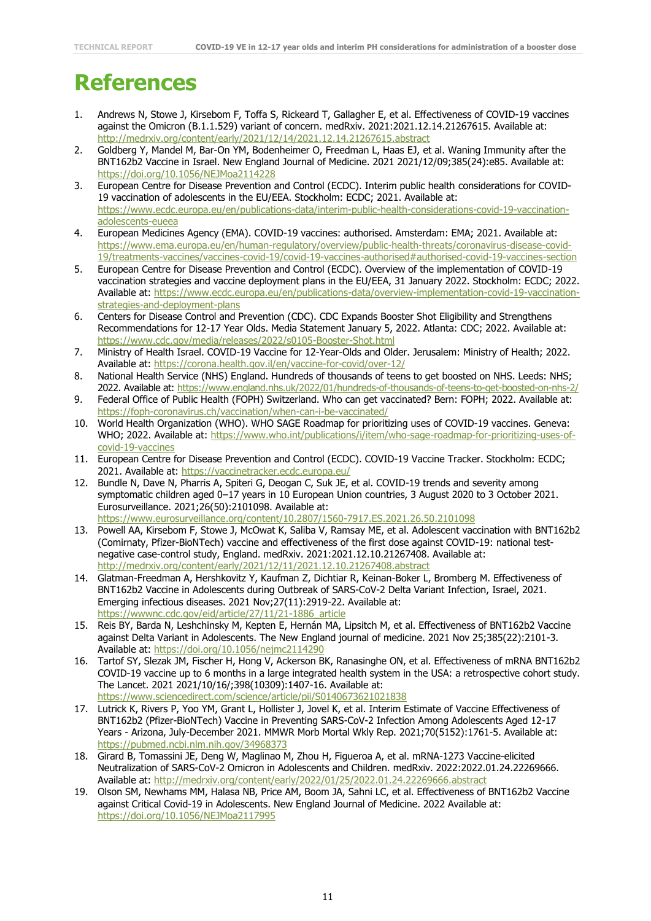# **References**

- 1. Andrews N, Stowe J, Kirsebom F, Toffa S, Rickeard T, Gallagher E, et al. Effectiveness of COVID-19 vaccines against the Omicron (B.1.1.529) variant of concern. medRxiv. 2021:2021.12.14.21267615. Available at: <http://medrxiv.org/content/early/2021/12/14/2021.12.14.21267615.abstract>
- 2. Goldberg Y, Mandel M, Bar-On YM, Bodenheimer O, Freedman L, Haas EJ, et al. Waning Immunity after the BNT162b2 Vaccine in Israel. New England Journal of Medicine. 2021 2021/12/09;385(24):e85. Available at: <https://doi.org/10.1056/NEJMoa2114228>
- 3. European Centre for Disease Prevention and Control (ECDC). Interim public health considerations for COVID-19 vaccination of adolescents in the EU/EEA. Stockholm: ECDC; 2021. Available at: [https://www.ecdc.europa.eu/en/publications-data/interim-public-health-considerations-covid-19-vaccination](https://www.ecdc.europa.eu/en/publications-data/interim-public-health-considerations-covid-19-vaccination-adolescents-eueea)[adolescents-eueea](https://www.ecdc.europa.eu/en/publications-data/interim-public-health-considerations-covid-19-vaccination-adolescents-eueea)
- 4. European Medicines Agency (EMA). COVID-19 vaccines: authorised. Amsterdam: EMA; 2021. Available at: [https://www.ema.europa.eu/en/human-regulatory/overview/public-health-threats/coronavirus-disease-covid-](https://www.ema.europa.eu/en/human-regulatory/overview/public-health-threats/coronavirus-disease-covid-19/treatments-vaccines/vaccines-covid-19/covid-19-vaccines-authorised#authorised-covid-19-vaccines-section)[19/treatments-vaccines/vaccines-covid-19/covid-19-vaccines-authorised#authorised-covid-19-vaccines-section](https://www.ema.europa.eu/en/human-regulatory/overview/public-health-threats/coronavirus-disease-covid-19/treatments-vaccines/vaccines-covid-19/covid-19-vaccines-authorised#authorised-covid-19-vaccines-section)
- 5. European Centre for Disease Prevention and Control (ECDC). Overview of the implementation of COVID-19 vaccination strategies and vaccine deployment plans in the EU/EEA, 31 January 2022. Stockholm: ECDC; 2022. Available at: [https://www.ecdc.europa.eu/en/publications-data/overview-implementation-covid-19-vaccination](https://www.ecdc.europa.eu/en/publications-data/overview-implementation-covid-19-vaccination-strategies-and-deployment-plans)[strategies-and-deployment-plans](https://www.ecdc.europa.eu/en/publications-data/overview-implementation-covid-19-vaccination-strategies-and-deployment-plans)
- 6. Centers for Disease Control and Prevention (CDC). CDC Expands Booster Shot Eligibility and Strengthens Recommendations for 12-17 Year Olds. Media Statement January 5, 2022. Atlanta: CDC; 2022. Available at: <https://www.cdc.gov/media/releases/2022/s0105-Booster-Shot.html>
- 7. Ministry of Health Israel. COVID-19 Vaccine for 12-Year-Olds and Older. Jerusalem: Ministry of Health; 2022. Available at:<https://corona.health.gov.il/en/vaccine-for-covid/over-12/>
- 8. National Health Service (NHS) England. Hundreds of thousands of teens to get boosted on NHS. Leeds: NHS; 2022. Available at:<https://www.england.nhs.uk/2022/01/hundreds-of-thousands-of-teens-to-get-boosted-on-nhs-2/>
- 9. Federal Office of Public Health (FOPH) Switzerland. Who can get vaccinated? Bern: FOPH; 2022. Available at: <https://foph-coronavirus.ch/vaccination/when-can-i-be-vaccinated/>
- 10. World Health Organization (WHO). WHO SAGE Roadmap for prioritizing uses of COVID-19 vaccines. Geneva: WHO; 2022. Available at: [https://www.who.int/publications/i/item/who-sage-roadmap-for-prioritizing-uses-of](https://www.who.int/publications/i/item/who-sage-roadmap-for-prioritizing-uses-of-covid-19-vaccines)[covid-19-vaccines](https://www.who.int/publications/i/item/who-sage-roadmap-for-prioritizing-uses-of-covid-19-vaccines)
- 11. European Centre for Disease Prevention and Control (ECDC). COVID-19 Vaccine Tracker. Stockholm: ECDC; 2021. Available at:<https://vaccinetracker.ecdc.europa.eu/>
- 12. Bundle N, Dave N, Pharris A, Spiteri G, Deogan C, Suk JE, et al. COVID-19 trends and severity among symptomatic children aged 0–17 years in 10 European Union countries, 3 August 2020 to 3 October 2021. Eurosurveillance. 2021;26(50):2101098. Available at: <https://www.eurosurveillance.org/content/10.2807/1560-7917.ES.2021.26.50.2101098>
- 13. Powell AA, Kirsebom F, Stowe J, McOwat K, Saliba V, Ramsay ME, et al. Adolescent vaccination with BNT162b2 (Comirnaty, Pfizer-BioNTech) vaccine and effectiveness of the first dose against COVID-19: national testnegative case-control study, England. medRxiv. 2021:2021.12.10.21267408. Available at: <http://medrxiv.org/content/early/2021/12/11/2021.12.10.21267408.abstract>
- 14. Glatman-Freedman A, Hershkovitz Y, Kaufman Z, Dichtiar R, Keinan-Boker L, Bromberg M. Effectiveness of BNT162b2 Vaccine in Adolescents during Outbreak of SARS-CoV-2 Delta Variant Infection, Israel, 2021. Emerging infectious diseases. 2021 Nov;27(11):2919-22. Available at: [https://wwwnc.cdc.gov/eid/article/27/11/21-1886\\_article](https://wwwnc.cdc.gov/eid/article/27/11/21-1886_article)
- 15. Reis BY, Barda N, Leshchinsky M, Kepten E, Hernán MA, Lipsitch M, et al. Effectiveness of BNT162b2 Vaccine against Delta Variant in Adolescents. The New England journal of medicine. 2021 Nov 25;385(22):2101-3. Available at:<https://doi.org/10.1056/nejmc2114290>
- 16. Tartof SY, Slezak JM, Fischer H, Hong V, Ackerson BK, Ranasinghe ON, et al. Effectiveness of mRNA BNT162b2 COVID-19 vaccine up to 6 months in a large integrated health system in the USA: a retrospective cohort study. The Lancet. 2021 2021/10/16/;398(10309):1407-16. Available at: <https://www.sciencedirect.com/science/article/pii/S0140673621021838>
- 17. Lutrick K, Rivers P, Yoo YM, Grant L, Hollister J, Jovel K, et al. Interim Estimate of Vaccine Effectiveness of BNT162b2 (Pfizer-BioNTech) Vaccine in Preventing SARS-CoV-2 Infection Among Adolescents Aged 12-17 Years - Arizona, July-December 2021. MMWR Morb Mortal Wkly Rep. 2021;70(5152):1761-5. Available at: <https://pubmed.ncbi.nlm.nih.gov/34968373>
- 18. Girard B, Tomassini JE, Deng W, Maglinao M, Zhou H, Figueroa A, et al. mRNA-1273 Vaccine-elicited Neutralization of SARS-CoV-2 Omicron in Adolescents and Children. medRxiv. 2022:2022.01.24.22269666. Available at:<http://medrxiv.org/content/early/2022/01/25/2022.01.24.22269666.abstract>
- 19. Olson SM, Newhams MM, Halasa NB, Price AM, Boom JA, Sahni LC, et al. Effectiveness of BNT162b2 Vaccine against Critical Covid-19 in Adolescents. New England Journal of Medicine. 2022 Available at: <https://doi.org/10.1056/NEJMoa2117995>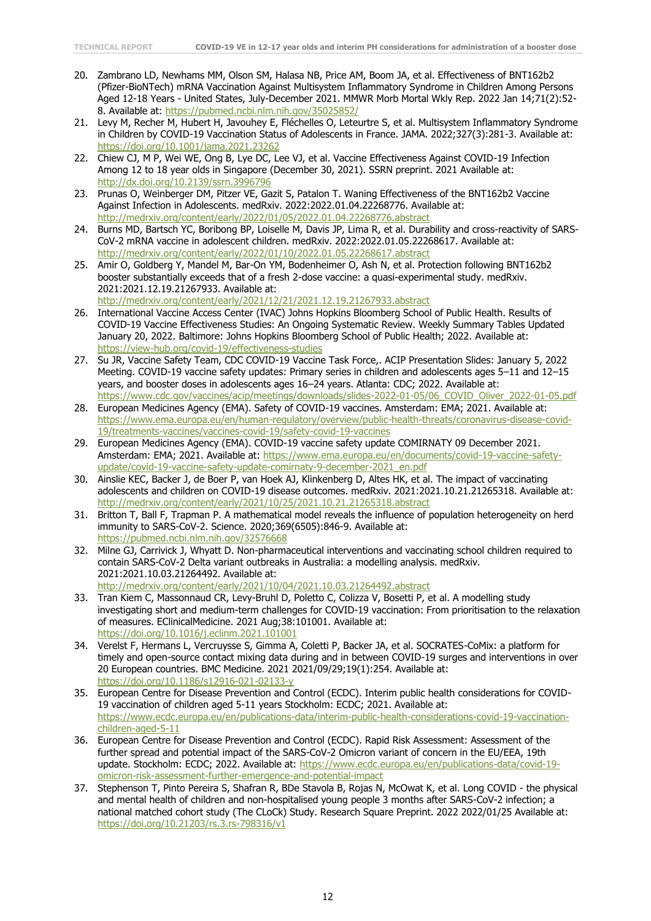- 20. Zambrano LD, Newhams MM, Olson SM, Halasa NB, Price AM, Boom JA, et al. Effectiveness of BNT162b2 (Pfizer-BioNTech) mRNA Vaccination Against Multisystem Inflammatory Syndrome in Children Among Persons Aged 12-18 Years - United States, July-December 2021. MMWR Morb Mortal Wkly Rep. 2022 Jan 14;71(2):52- 8. Available at:<https://pubmed.ncbi.nlm.nih.gov/35025852/>
- 21. Levy M, Recher M, Hubert H, Javouhey E, Fléchelles O, Leteurtre S, et al. Multisystem Inflammatory Syndrome in Children by COVID-19 Vaccination Status of Adolescents in France. JAMA. 2022;327(3):281-3. Available at: <https://doi.org/10.1001/jama.2021.23262>
- 22. Chiew CJ, M P, Wei WE, Ong B, Lye DC, Lee VJ, et al. Vaccine Effectiveness Against COVID-19 Infection Among 12 to 18 year olds in Singapore (December 30, 2021). SSRN preprint. 2021 Available at: <http://dx.doi.org/10.2139/ssrn.3996796>
- 23. Prunas O, Weinberger DM, Pitzer VE, Gazit S, Patalon T. Waning Effectiveness of the BNT162b2 Vaccine Against Infection in Adolescents. medRxiv. 2022:2022.01.04.22268776. Available at: <http://medrxiv.org/content/early/2022/01/05/2022.01.04.22268776.abstract>
- 24. Burns MD, Bartsch YC, Boribong BP, Loiselle M, Davis JP, Lima R, et al. Durability and cross-reactivity of SARS-CoV-2 mRNA vaccine in adolescent children. medRxiv. 2022:2022.01.05.22268617. Available at: <http://medrxiv.org/content/early/2022/01/10/2022.01.05.22268617.abstract>
- 25. Amir O, Goldberg Y, Mandel M, Bar-On YM, Bodenheimer O, Ash N, et al. Protection following BNT162b2 booster substantially exceeds that of a fresh 2-dose vaccine: a quasi-experimental study. medRxiv. 2021:2021.12.19.21267933. Available at: <http://medrxiv.org/content/early/2021/12/21/2021.12.19.21267933.abstract>
- 26. International Vaccine Access Center (IVAC) Johns Hopkins Bloomberg School of Public Health. Results of COVID-19 Vaccine Effectiveness Studies: An Ongoing Systematic Review. Weekly Summary Tables Updated January 20, 2022. Baltimore: Johns Hopkins Bloomberg School of Public Health; 2022. Available at: <https://view-hub.org/covid-19/effectiveness-studies>
- 27. Su JR, Vaccine Safety Team, CDC COVID-19 Vaccine Task Force,. ACIP Presentation Slides: January 5, 2022 Meeting. COVID-19 vaccine safety updates: Primary series in children and adolescents ages 5–11 and 12–15 years, and booster doses in adolescents ages 16–24 years. Atlanta: CDC; 2022. Available at: [https://www.cdc.gov/vaccines/acip/meetings/downloads/slides-2022-01-05/06\\_COVID\\_Oliver\\_2022-01-05.pdf](https://www.cdc.gov/vaccines/acip/meetings/downloads/slides-2022-01-05/06_COVID_Oliver_2022-01-05.pdf)
- 28. European Medicines Agency (EMA). Safety of COVID-19 vaccines. Amsterdam: EMA; 2021. Available at: [https://www.ema.europa.eu/en/human-regulatory/overview/public-health-threats/coronavirus-disease-covid-](https://www.ema.europa.eu/en/human-regulatory/overview/public-health-threats/coronavirus-disease-covid-19/treatments-vaccines/vaccines-covid-19/safety-covid-19-vaccines)[19/treatments-vaccines/vaccines-covid-19/safety-covid-19-vaccines](https://www.ema.europa.eu/en/human-regulatory/overview/public-health-threats/coronavirus-disease-covid-19/treatments-vaccines/vaccines-covid-19/safety-covid-19-vaccines)
- 29. European Medicines Agency (EMA). COVID-19 vaccine safety update COMIRNATY 09 December 2021. Amsterdam: EMA; 2021. Available at: [https://www.ema.europa.eu/en/documents/covid-19-vaccine-safety](https://www.ema.europa.eu/en/documents/covid-19-vaccine-safety-update/covid-19-vaccine-safety-update-comirnaty-9-december-2021_en.pdf)[update/covid-19-vaccine-safety-update-comirnaty-9-december-2021\\_en.pdf](https://www.ema.europa.eu/en/documents/covid-19-vaccine-safety-update/covid-19-vaccine-safety-update-comirnaty-9-december-2021_en.pdf)
- 30. Ainslie KEC, Backer J, de Boer P, van Hoek AJ, Klinkenberg D, Altes HK, et al. The impact of vaccinating adolescents and children on COVID-19 disease outcomes. medRxiv. 2021:2021.10.21.21265318. Available at: <http://medrxiv.org/content/early/2021/10/25/2021.10.21.21265318.abstract>
- 31. Britton T, Ball F, Trapman P. A mathematical model reveals the influence of population heterogeneity on herd immunity to SARS-CoV-2. Science. 2020;369(6505):846-9. Available at: <https://pubmed.ncbi.nlm.nih.gov/32576668>
- 32. Milne GJ, Carrivick J, Whyatt D. Non-pharmaceutical interventions and vaccinating school children required to contain SARS-CoV-2 Delta variant outbreaks in Australia: a modelling analysis. medRxiv. 2021:2021.10.03.21264492. Available at: <http://medrxiv.org/content/early/2021/10/04/2021.10.03.21264492.abstract>
- 33. Tran Kiem C, Massonnaud CR, Levy-Bruhl D, Poletto C, Colizza V, Bosetti P, et al. A modelling study investigating short and medium-term challenges for COVID-19 vaccination: From prioritisation to the relaxation of measures. EClinicalMedicine. 2021 Aug;38:101001. Available at: <https://doi.org/10.1016/j.eclinm.2021.101001>
- 34. Verelst F, Hermans L, Vercruysse S, Gimma A, Coletti P, Backer JA, et al. SOCRATES-CoMix: a platform for timely and open-source contact mixing data during and in between COVID-19 surges and interventions in over 20 European countries. BMC Medicine. 2021 2021/09/29;19(1):254. Available at: <https://doi.org/10.1186/s12916-021-02133-y>
- 35. European Centre for Disease Prevention and Control (ECDC). Interim public health considerations for COVID-19 vaccination of children aged 5-11 years Stockholm: ECDC; 2021. Available at: [https://www.ecdc.europa.eu/en/publications-data/interim-public-health-considerations-covid-19-vaccination](https://www.ecdc.europa.eu/en/publications-data/interim-public-health-considerations-covid-19-vaccination-children-aged-5-11)[children-aged-5-11](https://www.ecdc.europa.eu/en/publications-data/interim-public-health-considerations-covid-19-vaccination-children-aged-5-11)
- 36. European Centre for Disease Prevention and Control (ECDC). Rapid Risk Assessment: Assessment of the further spread and potential impact of the SARS-CoV-2 Omicron variant of concern in the EU/EEA, 19th update. Stockholm: ECDC; 2022. Available at: [https://www.ecdc.europa.eu/en/publications-data/covid-19](https://www.ecdc.europa.eu/en/publications-data/covid-19-omicron-risk-assessment-further-emergence-and-potential-impact) [omicron-risk-assessment-further-emergence-and-potential-impact](https://www.ecdc.europa.eu/en/publications-data/covid-19-omicron-risk-assessment-further-emergence-and-potential-impact)
- 37. Stephenson T, Pinto Pereira S, Shafran R, BDe Stavola B, Rojas N, McOwat K, et al. Long COVID the physical and mental health of children and non-hospitalised young people 3 months after SARS-CoV-2 infection; a national matched cohort study (The CLoCk) Study. Research Square Preprint. 2022 2022/01/25 Available at: <https://doi.org/10.21203/rs.3.rs-798316/v1>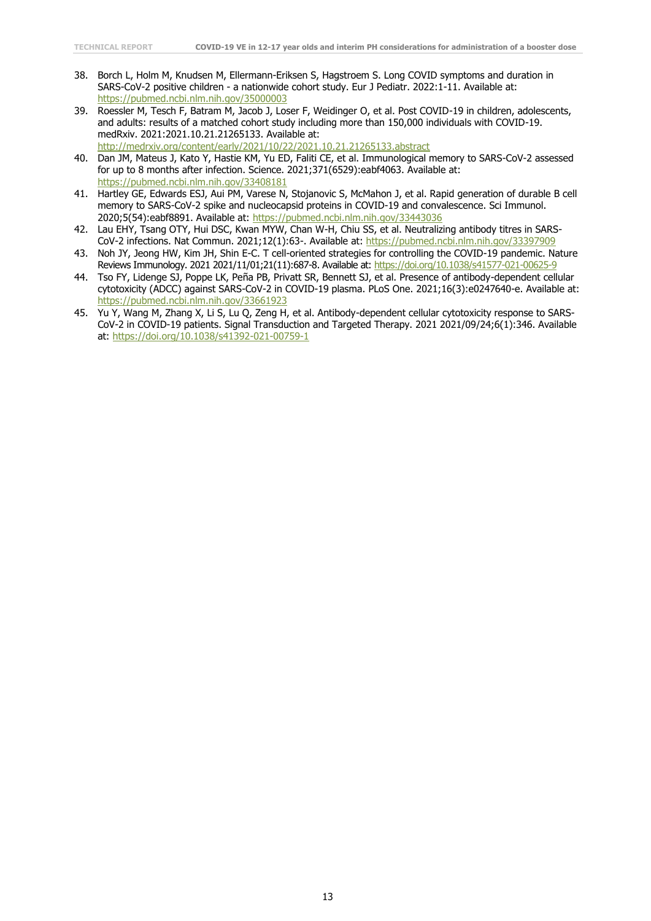- 38. Borch L, Holm M, Knudsen M, Ellermann-Eriksen S, Hagstroem S. Long COVID symptoms and duration in SARS-CoV-2 positive children - a nationwide cohort study. Eur J Pediatr. 2022:1-11. Available at: <https://pubmed.ncbi.nlm.nih.gov/35000003>
- 39. Roessler M, Tesch F, Batram M, Jacob J, Loser F, Weidinger O, et al. Post COVID-19 in children, adolescents, and adults: results of a matched cohort study including more than 150,000 individuals with COVID-19. medRxiv. 2021:2021.10.21.21265133. Available at:

<http://medrxiv.org/content/early/2021/10/22/2021.10.21.21265133.abstract>

- 40. Dan JM, Mateus J, Kato Y, Hastie KM, Yu ED, Faliti CE, et al. Immunological memory to SARS-CoV-2 assessed for up to 8 months after infection. Science. 2021;371(6529):eabf4063. Available at: <https://pubmed.ncbi.nlm.nih.gov/33408181>
- 41. Hartley GE, Edwards ESJ, Aui PM, Varese N, Stojanovic S, McMahon J, et al. Rapid generation of durable B cell memory to SARS-CoV-2 spike and nucleocapsid proteins in COVID-19 and convalescence. Sci Immunol. 2020;5(54):eabf8891. Available at:<https://pubmed.ncbi.nlm.nih.gov/33443036>
- 42. Lau EHY, Tsang OTY, Hui DSC, Kwan MYW, Chan W-H, Chiu SS, et al. Neutralizing antibody titres in SARS-CoV-2 infections. Nat Commun. 2021;12(1):63-. Available at:<https://pubmed.ncbi.nlm.nih.gov/33397909>
- 43. Noh JY, Jeong HW, Kim JH, Shin E-C. T cell-oriented strategies for controlling the COVID-19 pandemic. Nature Reviews Immunology. 2021 2021/11/01;21(11):687-8. Available at[: https://doi.org/10.1038/s41577-021-00625-9](https://doi.org/10.1038/s41577-021-00625-9)
- 44. Tso FY, Lidenge SJ, Poppe LK, Peña PB, Privatt SR, Bennett SJ, et al. Presence of antibody-dependent cellular cytotoxicity (ADCC) against SARS-CoV-2 in COVID-19 plasma. PLoS One. 2021;16(3):e0247640-e. Available at: <https://pubmed.ncbi.nlm.nih.gov/33661923>
- 45. Yu Y, Wang M, Zhang X, Li S, Lu Q, Zeng H, et al. Antibody-dependent cellular cytotoxicity response to SARS-CoV-2 in COVID-19 patients. Signal Transduction and Targeted Therapy. 2021 2021/09/24;6(1):346. Available at:<https://doi.org/10.1038/s41392-021-00759-1>